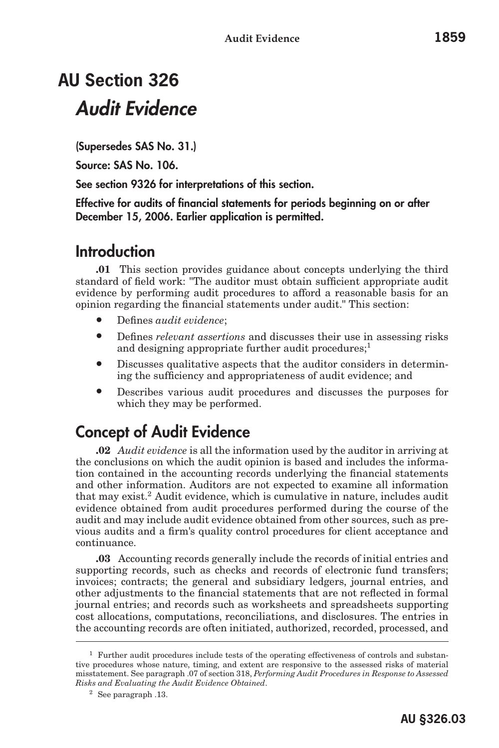# **AU Section 326** *Audit Evidence*

(Supersedes SAS No. 31.)

Source: SAS No. 106.

See section 9326 for interpretations of this section.

Effective for audits of financial statements for periods beginning on or after December 15, 2006. Earlier application is permitted.

## **Introduction**

**.01** This section provides guidance about concepts underlying the third standard of field work: "The auditor must obtain sufficient appropriate audit evidence by performing audit procedures to afford a reasonable basis for an opinion regarding the financial statements under audit." This section:

- Defines *audit evidence*;
- Defines *relevant assertions* and discusses their use in assessing risks and designing appropriate further audit procedures;<sup>1</sup>
- Discusses qualitative aspects that the auditor considers in determining the sufficiency and appropriateness of audit evidence; and
- Describes various audit procedures and discusses the purposes for which they may be performed.

## Concept of Audit Evidence

**.02** *Audit evidence* is all the information used by the auditor in arriving at the conclusions on which the audit opinion is based and includes the information contained in the accounting records underlying the financial statements and other information. Auditors are not expected to examine all information that may exist.<sup>2</sup> Audit evidence, which is cumulative in nature, includes audit evidence obtained from audit procedures performed during the course of the audit and may include audit evidence obtained from other sources, such as previous audits and a firm's quality control procedures for client acceptance and continuance.

**.03** Accounting records generally include the records of initial entries and supporting records, such as checks and records of electronic fund transfers; invoices; contracts; the general and subsidiary ledgers, journal entries, and other adjustments to the financial statements that are not reflected in formal journal entries; and records such as worksheets and spreadsheets supporting cost allocations, computations, reconciliations, and disclosures. The entries in the accounting records are often initiated, authorized, recorded, processed, and

<sup>&</sup>lt;sup>1</sup> Further audit procedures include tests of the operating effectiveness of controls and substantive procedures whose nature, timing, and extent are responsive to the assessed risks of material misstatement. See paragraph .07 of section 318, *Performing Audit Procedures in Response to Assessed Risks and Evaluating the Audit Evidence Obtained*.

 $2$  See paragraph .13.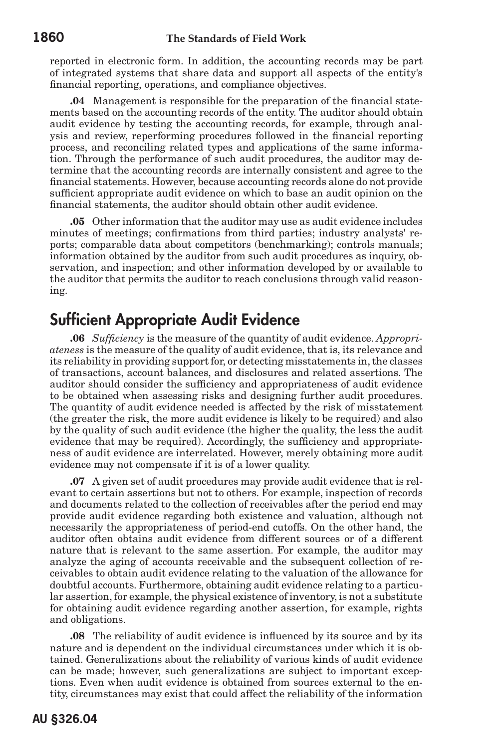reported in electronic form. In addition, the accounting records may be part of integrated systems that share data and support all aspects of the entity's financial reporting, operations, and compliance objectives.

**.04** Management is responsible for the preparation of the financial statements based on the accounting records of the entity. The auditor should obtain audit evidence by testing the accounting records, for example, through analysis and review, reperforming procedures followed in the financial reporting process, and reconciling related types and applications of the same information. Through the performance of such audit procedures, the auditor may determine that the accounting records are internally consistent and agree to the financial statements. However, because accounting records alone do not provide sufficient appropriate audit evidence on which to base an audit opinion on the financial statements, the auditor should obtain other audit evidence.

**.05** Other information that the auditor may use as audit evidence includes minutes of meetings; confirmations from third parties; industry analysts' reports; comparable data about competitors (benchmarking); controls manuals; information obtained by the auditor from such audit procedures as inquiry, observation, and inspection; and other information developed by or available to the auditor that permits the auditor to reach conclusions through valid reasoning.

## Sufficient Appropriate Audit Evidence

**.06** *Sufficiency* is the measure of the quantity of audit evidence. *Appropriateness* is the measure of the quality of audit evidence, that is, its relevance and its reliability in providing support for, or detecting misstatements in, the classes of transactions, account balances, and disclosures and related assertions. The auditor should consider the sufficiency and appropriateness of audit evidence to be obtained when assessing risks and designing further audit procedures. The quantity of audit evidence needed is affected by the risk of misstatement (the greater the risk, the more audit evidence is likely to be required) and also by the quality of such audit evidence (the higher the quality, the less the audit evidence that may be required). Accordingly, the sufficiency and appropriateness of audit evidence are interrelated. However, merely obtaining more audit evidence may not compensate if it is of a lower quality.

**.07** A given set of audit procedures may provide audit evidence that is relevant to certain assertions but not to others. For example, inspection of records and documents related to the collection of receivables after the period end may provide audit evidence regarding both existence and valuation, although not necessarily the appropriateness of period-end cutoffs. On the other hand, the auditor often obtains audit evidence from different sources or of a different nature that is relevant to the same assertion. For example, the auditor may analyze the aging of accounts receivable and the subsequent collection of receivables to obtain audit evidence relating to the valuation of the allowance for doubtful accounts. Furthermore, obtaining audit evidence relating to a particular assertion, for example, the physical existence of inventory, is not a substitute for obtaining audit evidence regarding another assertion, for example, rights and obligations.

**.08** The reliability of audit evidence is influenced by its source and by its nature and is dependent on the individual circumstances under which it is obtained. Generalizations about the reliability of various kinds of audit evidence can be made; however, such generalizations are subject to important exceptions. Even when audit evidence is obtained from sources external to the entity, circumstances may exist that could affect the reliability of the information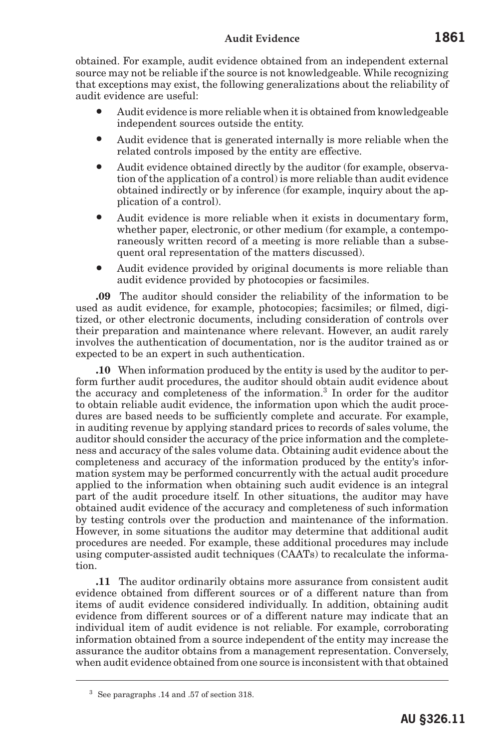#### **Audit Evidence 1861**

obtained. For example, audit evidence obtained from an independent external source may not be reliable if the source is not knowledgeable. While recognizing that exceptions may exist, the following generalizations about the reliability of audit evidence are useful:

- Audit evidence is more reliable when it is obtained from knowledgeable independent sources outside the entity.
- Audit evidence that is generated internally is more reliable when the related controls imposed by the entity are effective.
- Audit evidence obtained directly by the auditor (for example, observation of the application of a control) is more reliable than audit evidence obtained indirectly or by inference (for example, inquiry about the application of a control).
- Audit evidence is more reliable when it exists in documentary form, whether paper, electronic, or other medium (for example, a contemporaneously written record of a meeting is more reliable than a subsequent oral representation of the matters discussed).
- Audit evidence provided by original documents is more reliable than audit evidence provided by photocopies or facsimiles.

**.09** The auditor should consider the reliability of the information to be used as audit evidence, for example, photocopies; facsimiles; or filmed, digitized, or other electronic documents, including consideration of controls over their preparation and maintenance where relevant. However, an audit rarely involves the authentication of documentation, nor is the auditor trained as or expected to be an expert in such authentication.

**.10** When information produced by the entity is used by the auditor to perform further audit procedures, the auditor should obtain audit evidence about the accuracy and completeness of the information.3 In order for the auditor to obtain reliable audit evidence, the information upon which the audit procedures are based needs to be sufficiently complete and accurate. For example, in auditing revenue by applying standard prices to records of sales volume, the auditor should consider the accuracy of the price information and the completeness and accuracy of the sales volume data. Obtaining audit evidence about the completeness and accuracy of the information produced by the entity's information system may be performed concurrently with the actual audit procedure applied to the information when obtaining such audit evidence is an integral part of the audit procedure itself. In other situations, the auditor may have obtained audit evidence of the accuracy and completeness of such information by testing controls over the production and maintenance of the information. However, in some situations the auditor may determine that additional audit procedures are needed. For example, these additional procedures may include using computer-assisted audit techniques (CAATs) to recalculate the information.

**.11** The auditor ordinarily obtains more assurance from consistent audit evidence obtained from different sources or of a different nature than from items of audit evidence considered individually. In addition, obtaining audit evidence from different sources or of a different nature may indicate that an individual item of audit evidence is not reliable. For example, corroborating information obtained from a source independent of the entity may increase the assurance the auditor obtains from a management representation. Conversely, when audit evidence obtained from one source is inconsistent with that obtained

<sup>3</sup> See paragraphs .14 and .57 of section 318.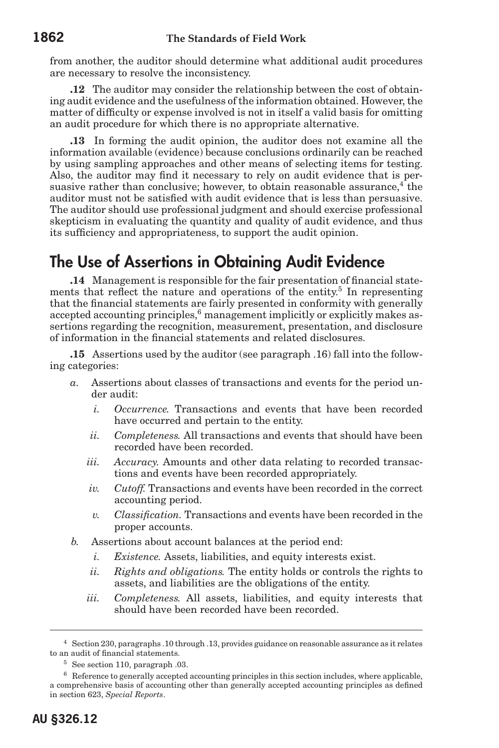from another, the auditor should determine what additional audit procedures are necessary to resolve the inconsistency.

**.12** The auditor may consider the relationship between the cost of obtaining audit evidence and the usefulness of the information obtained. However, the matter of difficulty or expense involved is not in itself a valid basis for omitting an audit procedure for which there is no appropriate alternative.

**.13** In forming the audit opinion, the auditor does not examine all the information available (evidence) because conclusions ordinarily can be reached by using sampling approaches and other means of selecting items for testing. Also, the auditor may find it necessary to rely on audit evidence that is persuasive rather than conclusive; however, to obtain reasonable assurance,  $4$  the auditor must not be satisfied with audit evidence that is less than persuasive. The auditor should use professional judgment and should exercise professional skepticism in evaluating the quantity and quality of audit evidence, and thus its sufficiency and appropriateness, to support the audit opinion.

## The Use of Assertions in Obtaining Audit Evidence

**.14** Management is responsible for the fair presentation of financial statements that reflect the nature and operations of the entity.<sup>5</sup> In representing that the financial statements are fairly presented in conformity with generally accepted accounting principles,<sup>6</sup> management implicitly or explicitly makes assertions regarding the recognition, measurement, presentation, and disclosure of information in the financial statements and related disclosures.

**.15** Assertions used by the auditor (see paragraph .16) fall into the following categories:

- *a.* Assertions about classes of transactions and events for the period under audit:
	- *i. Occurrence.* Transactions and events that have been recorded have occurred and pertain to the entity.
	- *ii. Completeness.* All transactions and events that should have been recorded have been recorded.
	- *iii. Accuracy.* Amounts and other data relating to recorded transactions and events have been recorded appropriately.
	- *iv. Cutoff.* Transactions and events have been recorded in the correct accounting period.
	- *v. Classification.* Transactions and events have been recorded in the proper accounts.
- *b.* Assertions about account balances at the period end:
	- *i. Existence.* Assets, liabilities, and equity interests exist.
	- *ii. Rights and obligations.* The entity holds or controls the rights to assets, and liabilities are the obligations of the entity.
	- *iii. Completeness.* All assets, liabilities, and equity interests that should have been recorded have been recorded.

<sup>4</sup> Section 230, paragraphs .10 through .13, provides guidance on reasonable assurance as it relates to an audit of financial statements.

<sup>5</sup> See section 110, paragraph .03.

<sup>6</sup> Reference to generally accepted accounting principles in this section includes, where applicable, a comprehensive basis of accounting other than generally accepted accounting principles as defined in section 623, *Special Reports*.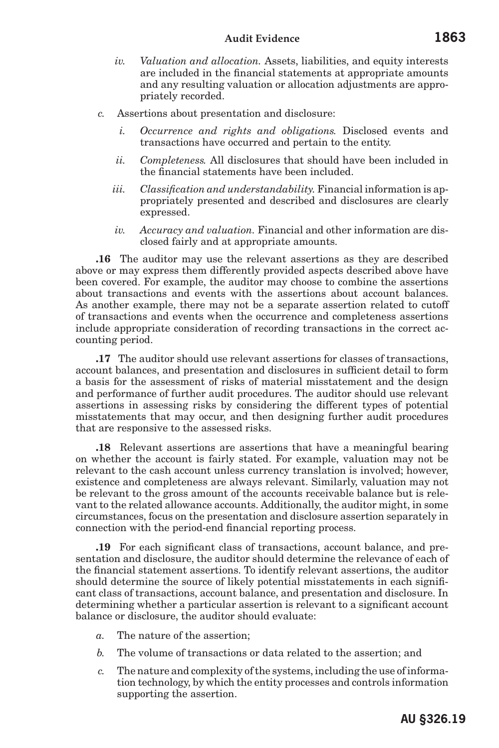- *iv. Valuation and allocation.* Assets, liabilities, and equity interests are included in the financial statements at appropriate amounts and any resulting valuation or allocation adjustments are appropriately recorded.
- *c.* Assertions about presentation and disclosure:
	- *i. Occurrence and rights and obligations.* Disclosed events and transactions have occurred and pertain to the entity.
	- *ii. Completeness.* All disclosures that should have been included in the financial statements have been included.
	- *iii. Classification and understandability.* Financial information is appropriately presented and described and disclosures are clearly expressed.
	- *iv. Accuracy and valuation.* Financial and other information are disclosed fairly and at appropriate amounts.

**.16** The auditor may use the relevant assertions as they are described above or may express them differently provided aspects described above have been covered. For example, the auditor may choose to combine the assertions about transactions and events with the assertions about account balances. As another example, there may not be a separate assertion related to cutoff of transactions and events when the occurrence and completeness assertions include appropriate consideration of recording transactions in the correct accounting period.

**.17** The auditor should use relevant assertions for classes of transactions, account balances, and presentation and disclosures in sufficient detail to form a basis for the assessment of risks of material misstatement and the design and performance of further audit procedures. The auditor should use relevant assertions in assessing risks by considering the different types of potential misstatements that may occur, and then designing further audit procedures that are responsive to the assessed risks.

**.18** Relevant assertions are assertions that have a meaningful bearing on whether the account is fairly stated. For example, valuation may not be relevant to the cash account unless currency translation is involved; however, existence and completeness are always relevant. Similarly, valuation may not be relevant to the gross amount of the accounts receivable balance but is relevant to the related allowance accounts. Additionally, the auditor might, in some circumstances, focus on the presentation and disclosure assertion separately in connection with the period-end financial reporting process.

**.19** For each significant class of transactions, account balance, and presentation and disclosure, the auditor should determine the relevance of each of the financial statement assertions. To identify relevant assertions, the auditor should determine the source of likely potential misstatements in each significant class of transactions, account balance, and presentation and disclosure. In determining whether a particular assertion is relevant to a significant account balance or disclosure, the auditor should evaluate:

- *a.* The nature of the assertion;
- *b.* The volume of transactions or data related to the assertion; and
- *c.* The nature and complexity of the systems, including the use of information technology, by which the entity processes and controls information supporting the assertion.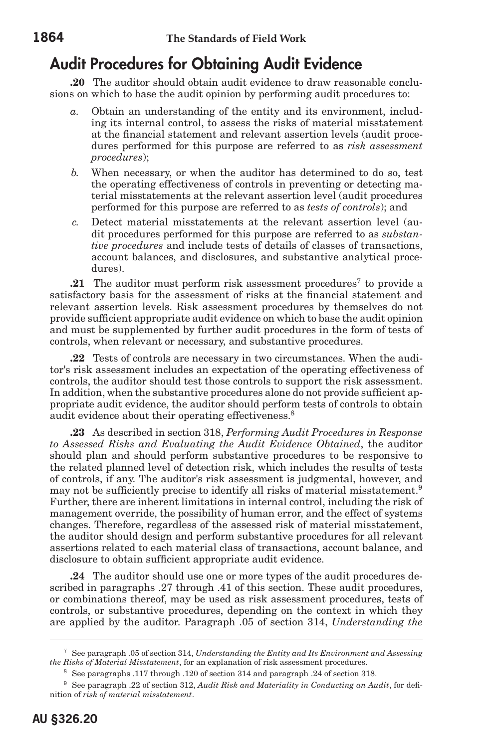## Audit Procedures for Obtaining Audit Evidence

**.20** The auditor should obtain audit evidence to draw reasonable conclusions on which to base the audit opinion by performing audit procedures to:

- Obtain an understanding of the entity and its environment, including its internal control, to assess the risks of material misstatement at the financial statement and relevant assertion levels (audit procedures performed for this purpose are referred to as *risk assessment procedures*);
- *b.* When necessary, or when the auditor has determined to do so, test the operating effectiveness of controls in preventing or detecting material misstatements at the relevant assertion level (audit procedures performed for this purpose are referred to as *tests of controls*); and
- *c.* Detect material misstatements at the relevant assertion level (audit procedures performed for this purpose are referred to as *substantive procedures* and include tests of details of classes of transactions, account balances, and disclosures, and substantive analytical procedures).

**.21** The auditor must perform risk assessment procedures<sup>7</sup> to provide a satisfactory basis for the assessment of risks at the financial statement and relevant assertion levels. Risk assessment procedures by themselves do not provide sufficient appropriate audit evidence on which to base the audit opinion and must be supplemented by further audit procedures in the form of tests of controls, when relevant or necessary, and substantive procedures.

**.22** Tests of controls are necessary in two circumstances. When the auditor's risk assessment includes an expectation of the operating effectiveness of controls, the auditor should test those controls to support the risk assessment. In addition, when the substantive procedures alone do not provide sufficient appropriate audit evidence, the auditor should perform tests of controls to obtain audit evidence about their operating effectiveness.<sup>8</sup>

**.23** As described in section 318, *Performing Audit Procedures in Response to Assessed Risks and Evaluating the Audit Evidence Obtained*, the auditor should plan and should perform substantive procedures to be responsive to the related planned level of detection risk, which includes the results of tests of controls, if any. The auditor's risk assessment is judgmental, however, and may not be sufficiently precise to identify all risks of material misstatement.<sup>9</sup> Further, there are inherent limitations in internal control, including the risk of management override, the possibility of human error, and the effect of systems changes. Therefore, regardless of the assessed risk of material misstatement, the auditor should design and perform substantive procedures for all relevant assertions related to each material class of transactions, account balance, and disclosure to obtain sufficient appropriate audit evidence.

**.24** The auditor should use one or more types of the audit procedures described in paragraphs .27 through .41 of this section. These audit procedures, or combinations thereof, may be used as risk assessment procedures, tests of controls, or substantive procedures, depending on the context in which they are applied by the auditor. Paragraph .05 of section 314, *Understanding the*

<sup>7</sup> See paragraph .05 of section 314, *Understanding the Entity and Its Environment and Assessing the Risks of Material Misstatement*, for an explanation of risk assessment procedures.

<sup>8</sup> See paragraphs .117 through .120 of section 314 and paragraph .24 of section 318.

<sup>9</sup> See paragraph .22 of section 312, *Audit Risk and Materiality in Conducting an Audit*, for definition of *risk of material misstatement*.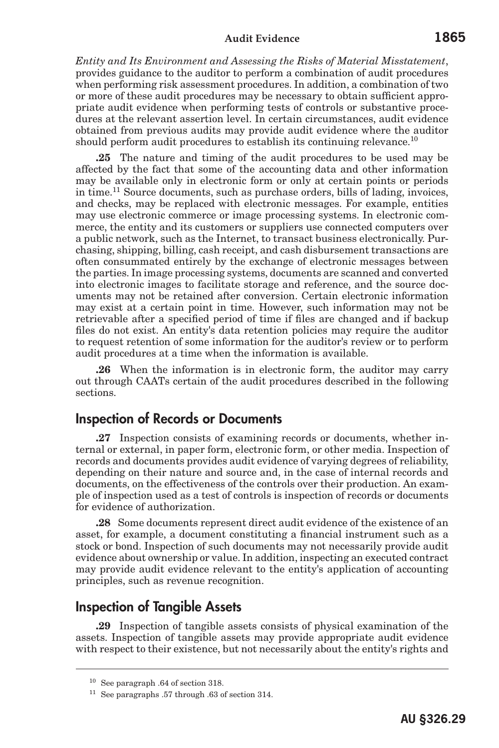#### **Audit Evidence 1865**

*Entity and Its Environment and Assessing the Risks of Material Misstatement*, provides guidance to the auditor to perform a combination of audit procedures when performing risk assessment procedures. In addition, a combination of two or more of these audit procedures may be necessary to obtain sufficient appropriate audit evidence when performing tests of controls or substantive procedures at the relevant assertion level. In certain circumstances, audit evidence obtained from previous audits may provide audit evidence where the auditor should perform audit procedures to establish its continuing relevance.<sup>10</sup>

**.25** The nature and timing of the audit procedures to be used may be affected by the fact that some of the accounting data and other information may be available only in electronic form or only at certain points or periods in time.<sup>11</sup> Source documents, such as purchase orders, bills of lading, invoices, and checks, may be replaced with electronic messages. For example, entities may use electronic commerce or image processing systems. In electronic commerce, the entity and its customers or suppliers use connected computers over a public network, such as the Internet, to transact business electronically. Purchasing, shipping, billing, cash receipt, and cash disbursement transactions are often consummated entirely by the exchange of electronic messages between the parties. In image processing systems, documents are scanned and converted into electronic images to facilitate storage and reference, and the source documents may not be retained after conversion. Certain electronic information may exist at a certain point in time. However, such information may not be retrievable after a specified period of time if files are changed and if backup files do not exist. An entity's data retention policies may require the auditor to request retention of some information for the auditor's review or to perform audit procedures at a time when the information is available.

**.26** When the information is in electronic form, the auditor may carry out through CAATs certain of the audit procedures described in the following sections.

#### Inspection of Records or Documents

**.27** Inspection consists of examining records or documents, whether internal or external, in paper form, electronic form, or other media. Inspection of records and documents provides audit evidence of varying degrees of reliability, depending on their nature and source and, in the case of internal records and documents, on the effectiveness of the controls over their production. An example of inspection used as a test of controls is inspection of records or documents for evidence of authorization.

**.28** Some documents represent direct audit evidence of the existence of an asset, for example, a document constituting a financial instrument such as a stock or bond. Inspection of such documents may not necessarily provide audit evidence about ownership or value. In addition, inspecting an executed contract may provide audit evidence relevant to the entity's application of accounting principles, such as revenue recognition.

#### Inspection of Tangible Assets

**.29** Inspection of tangible assets consists of physical examination of the assets. Inspection of tangible assets may provide appropriate audit evidence with respect to their existence, but not necessarily about the entity's rights and

<sup>10</sup> See paragraph .64 of section 318.

<sup>&</sup>lt;sup>11</sup> See paragraphs  $.57$  through  $.63$  of section 314.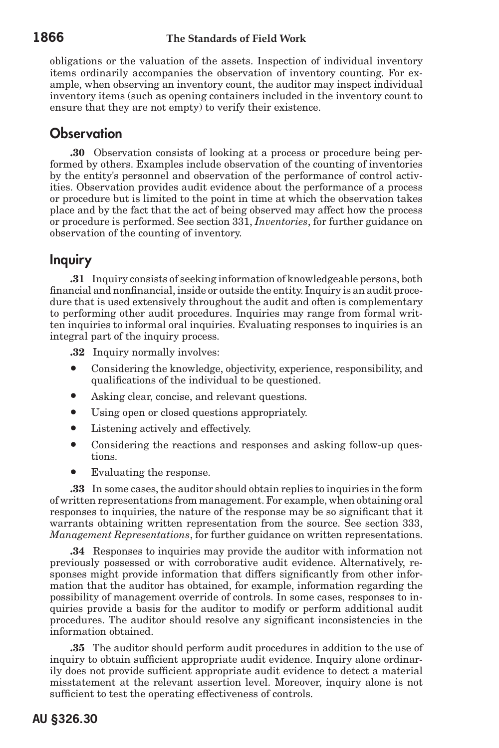obligations or the valuation of the assets. Inspection of individual inventory items ordinarily accompanies the observation of inventory counting. For example, when observing an inventory count, the auditor may inspect individual inventory items (such as opening containers included in the inventory count to ensure that they are not empty) to verify their existence.

## **Observation**

**.30** Observation consists of looking at a process or procedure being performed by others. Examples include observation of the counting of inventories by the entity's personnel and observation of the performance of control activities. Observation provides audit evidence about the performance of a process or procedure but is limited to the point in time at which the observation takes place and by the fact that the act of being observed may affect how the process or procedure is performed. See section 331, *Inventories*, for further guidance on observation of the counting of inventory.

## Inquiry

**.31** Inquiry consists of seeking information of knowledgeable persons, both financial and nonfinancial, inside or outside the entity. Inquiry is an audit procedure that is used extensively throughout the audit and often is complementary to performing other audit procedures. Inquiries may range from formal written inquiries to informal oral inquiries. Evaluating responses to inquiries is an integral part of the inquiry process.

**.32** Inquiry normally involves:

- Considering the knowledge, objectivity, experience, responsibility, and qualifications of the individual to be questioned.
- Asking clear, concise, and relevant questions.
- Using open or closed questions appropriately.
- Listening actively and effectively.
- Considering the reactions and responses and asking follow-up questions.
- Evaluating the response.

**.33** In some cases, the auditor should obtain replies to inquiries in the form of written representations from management. For example, when obtaining oral responses to inquiries, the nature of the response may be so significant that it warrants obtaining written representation from the source. See section 333, *Management Representations*, for further guidance on written representations.

**.34** Responses to inquiries may provide the auditor with information not previously possessed or with corroborative audit evidence. Alternatively, responses might provide information that differs significantly from other information that the auditor has obtained, for example, information regarding the possibility of management override of controls. In some cases, responses to inquiries provide a basis for the auditor to modify or perform additional audit procedures. The auditor should resolve any significant inconsistencies in the information obtained.

**.35** The auditor should perform audit procedures in addition to the use of inquiry to obtain sufficient appropriate audit evidence. Inquiry alone ordinarily does not provide sufficient appropriate audit evidence to detect a material misstatement at the relevant assertion level. Moreover, inquiry alone is not sufficient to test the operating effectiveness of controls.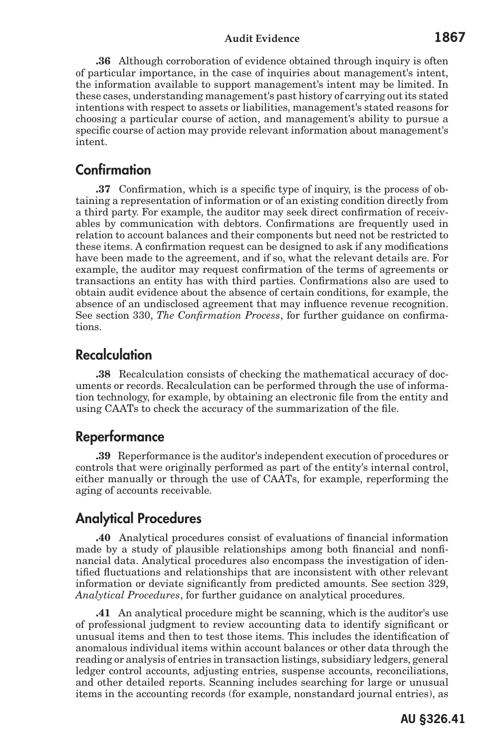**.36** Although corroboration of evidence obtained through inquiry is often of particular importance, in the case of inquiries about management's intent, the information available to support management's intent may be limited. In these cases, understanding management's past history of carrying out its stated intentions with respect to assets or liabilities, management's stated reasons for choosing a particular course of action, and management's ability to pursue a specific course of action may provide relevant information about management's intent.

#### Confirmation

**.37** Confirmation, which is a specific type of inquiry, is the process of obtaining a representation of information or of an existing condition directly from a third party. For example, the auditor may seek direct confirmation of receivables by communication with debtors. Confirmations are frequently used in relation to account balances and their components but need not be restricted to these items. A confirmation request can be designed to ask if any modifications have been made to the agreement, and if so, what the relevant details are. For example, the auditor may request confirmation of the terms of agreements or transactions an entity has with third parties. Confirmations also are used to obtain audit evidence about the absence of certain conditions, for example, the absence of an undisclosed agreement that may influence revenue recognition. See section 330, *The Confirmation Process*, for further guidance on confirmations.

#### **Recalculation**

**.38** Recalculation consists of checking the mathematical accuracy of documents or records. Recalculation can be performed through the use of information technology, for example, by obtaining an electronic file from the entity and using CAATs to check the accuracy of the summarization of the file.

### Reperformance

**.39** Reperformance is the auditor's independent execution of procedures or controls that were originally performed as part of the entity's internal control, either manually or through the use of CAATs, for example, reperforming the aging of accounts receivable.

## Analytical Procedures

**.40** Analytical procedures consist of evaluations of financial information made by a study of plausible relationships among both financial and nonfinancial data. Analytical procedures also encompass the investigation of identified fluctuations and relationships that are inconsistent with other relevant information or deviate significantly from predicted amounts. See section 329, *Analytical Procedures*, for further guidance on analytical procedures.

**.41** An analytical procedure might be scanning, which is the auditor's use of professional judgment to review accounting data to identify significant or unusual items and then to test those items. This includes the identification of anomalous individual items within account balances or other data through the reading or analysis of entries in transaction listings, subsidiary ledgers, general ledger control accounts, adjusting entries, suspense accounts, reconciliations, and other detailed reports. Scanning includes searching for large or unusual items in the accounting records (for example, nonstandard journal entries), as